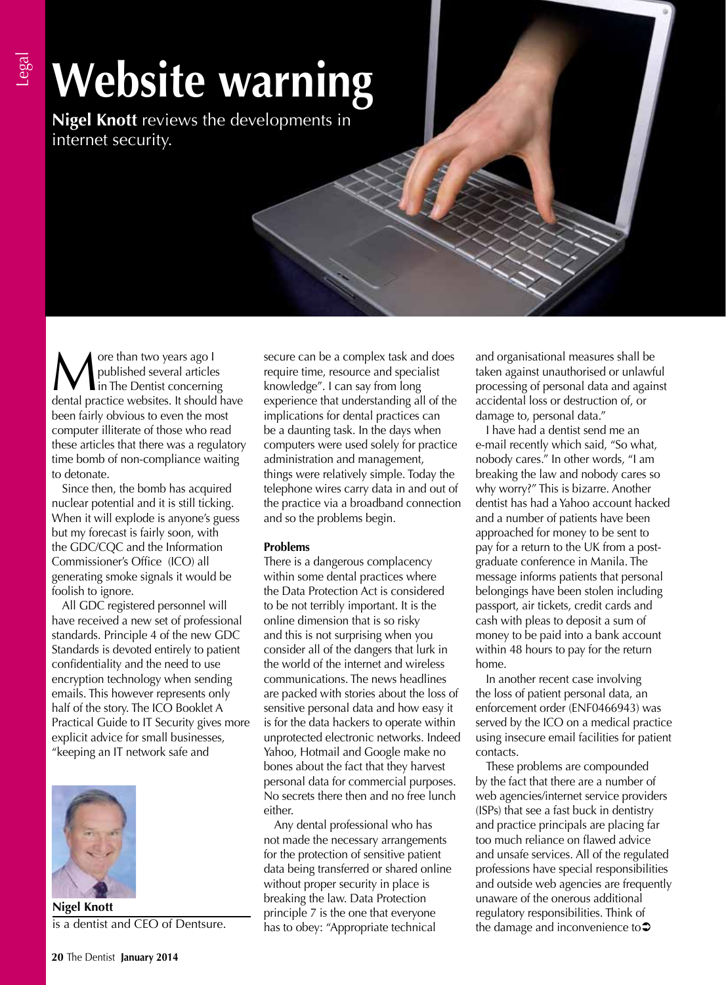# Legal

# **Website warning**

**Nigel Knott** reviews the developments in internet security.

**M** ore than two years ago I<br>in The Dentist concernin<br>dental practice websites It should published several articles in The Dentist concerning dental practice websites. It should have been fairly obvious to even the most computer illiterate of those who read these articles that there was a regulatory time bomb of non-compliance waiting to detonate.

Since then, the bomb has acquired nuclear potential and it is still ticking. When it will explode is anyone's guess but my forecast is fairly soon, with the GDC/CQC and the Information Commissioner's Office (ICO) all generating smoke signals it would be foolish to ignore.

All GDC registered personnel will have received a new set of professional standards. Principle 4 of the new GDC Standards is devoted entirely to patient confidentiality and the need to use encryption technology when sending emails. This however represents only half of the story. The ICO Booklet A Practical Guide to IT Security gives more explicit advice for small businesses, "keeping an IT network safe and



**Nigel Knott** is a dentist and CEO of Dentsure.

secure can be a complex task and does require time, resource and specialist knowledge". I can say from long experience that understanding all of the implications for dental practices can be a daunting task. In the days when computers were used solely for practice administration and management, things were relatively simple. Today the telephone wires carry data in and out of the practice via a broadband connection and so the problems begin.

## **Problems**

There is a dangerous complacency within some dental practices where the Data Protection Act is considered to be not terribly important. It is the online dimension that is so risky and this is not surprising when you consider all of the dangers that lurk in the world of the internet and wireless communications. The news headlines are packed with stories about the loss of sensitive personal data and how easy it is for the data hackers to operate within unprotected electronic networks. Indeed Yahoo, Hotmail and Google make no bones about the fact that they harvest personal data for commercial purposes. No secrets there then and no free lunch either.

Any dental professional who has not made the necessary arrangements for the protection of sensitive patient data being transferred or shared online without proper security in place is breaking the law. Data Protection principle 7 is the one that everyone has to obey: "Appropriate technical

and organisational measures shall be taken against unauthorised or unlawful processing of personal data and against accidental loss or destruction of, or damage to, personal data."

I have had a dentist send me an e-mail recently which said, "So what, nobody cares." In other words, "I am breaking the law and nobody cares so why worry?" This is bizarre. Another dentist has had a Yahoo account hacked and a number of patients have been approached for money to be sent to pay for a return to the UK from a postgraduate conference in Manila. The message informs patients that personal belongings have been stolen including passport, air tickets, credit cards and cash with pleas to deposit a sum of money to be paid into a bank account within 48 hours to pay for the return home.

In another recent case involving the loss of patient personal data, an enforcement order (ENF0466943) was served by the ICO on a medical practice using insecure email facilities for patient contacts.

These problems are compounded by the fact that there are a number of web agencies/internet service providers (ISPs) that see a fast buck in dentistry and practice principals are placing far too much reliance on flawed advice and unsafe services. All of the regulated professions have special responsibilities and outside web agencies are frequently unaware of the onerous additional regulatory responsibilities. Think of the damage and inconvenience to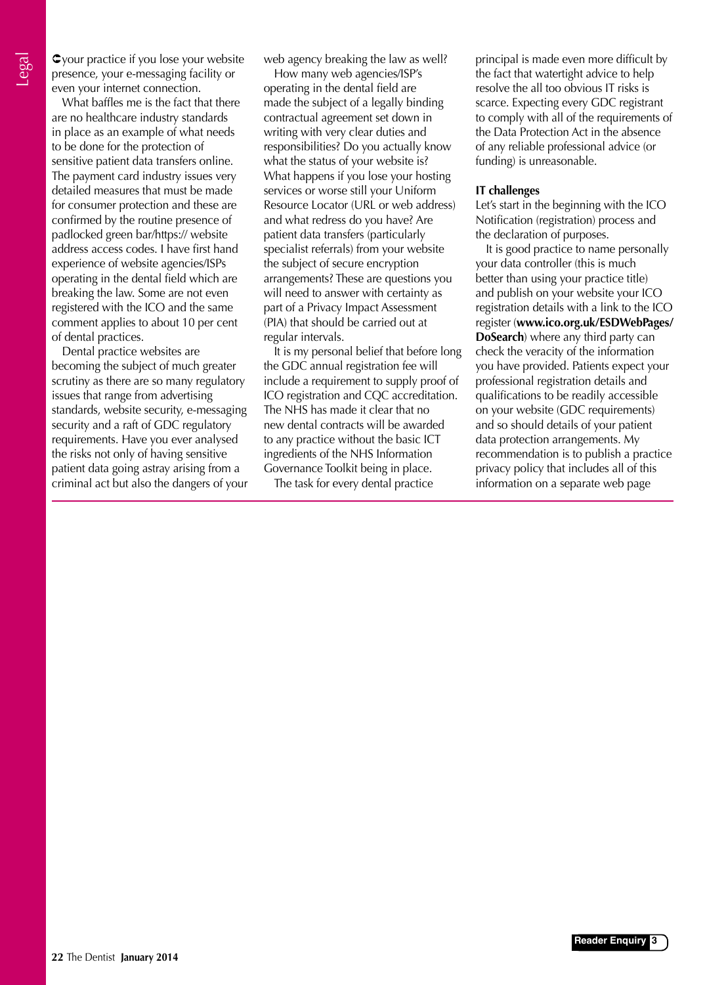your practice if you lose your website presence, your e-messaging facility or even your internet connection.

What baffles me is the fact that there are no healthcare industry standards in place as an example of what needs to be done for the protection of sensitive patient data transfers online. The payment card industry issues very detailed measures that must be made for consumer protection and these are confirmed by the routine presence of padlocked green bar/https:// website address access codes. I have first hand experience of website agencies/ISPs operating in the dental field which are breaking the law. Some are not even registered with the ICO and the same comment applies to about 10 per cent of dental practices.

Dental practice websites are becoming the subject of much greater scrutiny as there are so many regulatory issues that range from advertising standards, website security, e-messaging security and a raft of GDC regulatory requirements. Have you ever analysed the risks not only of having sensitive patient data going astray arising from a criminal act but also the dangers of your web agency breaking the law as well?

How many web agencies/ISP's operating in the dental field are made the subject of a legally binding contractual agreement set down in writing with very clear duties and responsibilities? Do you actually know what the status of your website is? What happens if you lose your hosting services or worse still your Uniform Resource Locator (URL or web address) and what redress do you have? Are patient data transfers (particularly specialist referrals) from your website the subject of secure encryption arrangements? These are questions you will need to answer with certainty as part of a Privacy Impact Assessment (PIA) that should be carried out at regular intervals.

It is my personal belief that before long the GDC annual registration fee will include a requirement to supply proof of ICO registration and CQC accreditation. The NHS has made it clear that no new dental contracts will be awarded to any practice without the basic ICT ingredients of the NHS Information Governance Toolkit being in place.

The task for every dental practice

principal is made even more difficult by the fact that watertight advice to help resolve the all too obvious IT risks is scarce. Expecting every GDC registrant to comply with all of the requirements of the Data Protection Act in the absence of any reliable professional advice (or funding) is unreasonable.

#### **IT challenges**

Let's start in the beginning with the ICO Notification (registration) process and the declaration of purposes.

It is good practice to name personally your data controller (this is much better than using your practice title) and publish on your website your ICO registration details with a link to the ICO register (**www.ico.org.uk/ESDWebPages/ DoSearch**) where any third party can check the veracity of the information you have provided. Patients expect your professional registration details and qualifications to be readily accessible on your website (GDC requirements) and so should details of your patient data protection arrangements. My recommendation is to publish a practice privacy policy that includes all of this information on a separate web page